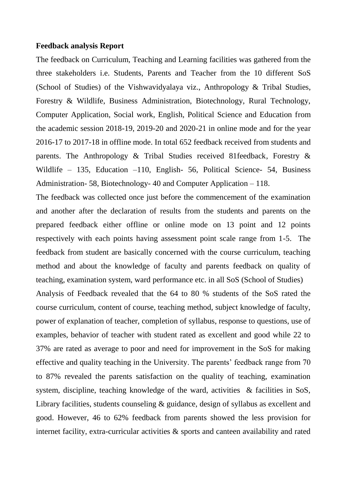## **Feedback analysis Report**

The feedback on Curriculum, Teaching and Learning facilities was gathered from the three stakeholders i.e. Students, Parents and Teacher from the 10 different SoS (School of Studies) of the Vishwavidyalaya viz., Anthropology & Tribal Studies, Forestry & Wildlife, Business Administration, Biotechnology, Rural Technology, Computer Application, Social work, English, Political Science and Education from the academic session 2018-19, 2019-20 and 2020-21 in online mode and for the year 2016-17 to 2017-18 in offline mode. In total 652 feedback received from students and parents. The Anthropology & Tribal Studies received 81feedback, Forestry & Wildlife – 135, Education –110, English- 56, Political Science- 54, Business Administration- 58, Biotechnology- 40 and Computer Application – 118.

The feedback was collected once just before the commencement of the examination and another after the declaration of results from the students and parents on the prepared feedback either offline or online mode on 13 point and 12 points respectively with each points having assessment point scale range from 1-5. The feedback from student are basically concerned with the course curriculum, teaching method and about the knowledge of faculty and parents feedback on quality of teaching, examination system, ward performance etc. in all SoS (School of Studies)

Analysis of Feedback revealed that the 64 to 80 % students of the SoS rated the course curriculum, content of course, teaching method, subject knowledge of faculty, power of explanation of teacher, completion of syllabus, response to questions, use of examples, behavior of teacher with student rated as excellent and good while 22 to 37% are rated as average to poor and need for improvement in the SoS for making effective and quality teaching in the University. The parents' feedback range from 70 to 87% revealed the parents satisfaction on the quality of teaching, examination system, discipline, teaching knowledge of the ward, activities  $\&$  facilities in SoS, Library facilities, students counseling & guidance, design of syllabus as excellent and good. However, 46 to 62% feedback from parents showed the less provision for internet facility, extra-curricular activities & sports and canteen availability and rated